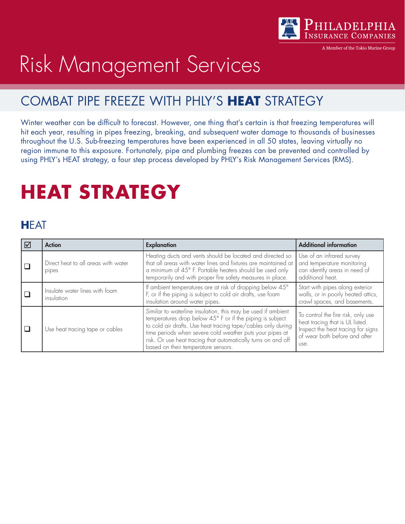

A Member of the Tokio Marine Grout

# Risk Management Services

#### COMBAT PIPE FREEZE WITH PHLY'S **HEAT** STRATEGY

Winter weather can be difficult to forecast. However, one thing that's certain is that freezing temperatures will hit each year, resulting in pipes freezing, breaking, and subsequent water damage to thousands of businesses throughout the U.S. Sub-freezing temperatures have been experienced in all 50 states, leaving virtually no region immune to this exposure. Fortunately, pipe and plumbing freezes can be prevented and controlled by using PHLY's HEAT strategy, a four step process developed by PHLY's Risk Management Services (RMS).

## **HEAT STRATEGY**

#### **H**EAT

| ⊻ | <b>Action</b>                                | <b>Explanation</b>                                                                                                                                                                                                                                                                                                                                            | <b>Additional information</b>                                                                                                                        |
|---|----------------------------------------------|---------------------------------------------------------------------------------------------------------------------------------------------------------------------------------------------------------------------------------------------------------------------------------------------------------------------------------------------------------------|------------------------------------------------------------------------------------------------------------------------------------------------------|
|   | Direct heat to all areas with water<br>pipes | Heating ducts and vents should be located and directed so<br>that all areas with water lines and fixtures are maintained at<br>a minimum of 45° F. Portable heaters should be used only<br>temporarily and with proper fire safety measures in place.                                                                                                         | Use of an infrared survey<br>and temperature monitoring<br>can identify areas in need of<br>additional heat.                                         |
|   | Insulate water lines with foam<br>insulation | If ambient temperatures are at risk of dropping below 45°<br>F, or if the piping is subject to cold air drafts, use foam<br>insulation around water pipes.                                                                                                                                                                                                    | Start with pipes along exterior<br>walls, or in poorly heated attics,<br>crawl spaces, and basements.                                                |
|   | Use heat tracing tape or cables              | Similar to waterline insulation, this may be used if ambient<br>temperatures drop below 45° F or if the piping is subject<br>to cold air drafts. Use heat tracing tape/cables only during<br>time periods when severe cold weather puts your pipes at<br>risk. Or use heat tracing that automatically turns on and off<br>based on their temperature sensors. | To control the fire risk, only use<br>heat tracing that is UL listed.<br>Inspect the heat tracing for signs<br>of wear both before and after<br>use. |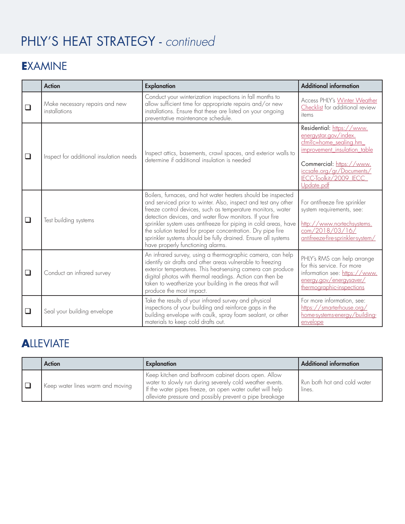### PHLY'S HEAT STRATEGY - *continued*

#### **E**XAMINE

|        | <b>Action</b>                                   | <b>Explanation</b>                                                                                                                                                                                                                                                                                                                                                                                                                                                                                | <b>Additional information</b>                                                                                                                                                                                            |
|--------|-------------------------------------------------|---------------------------------------------------------------------------------------------------------------------------------------------------------------------------------------------------------------------------------------------------------------------------------------------------------------------------------------------------------------------------------------------------------------------------------------------------------------------------------------------------|--------------------------------------------------------------------------------------------------------------------------------------------------------------------------------------------------------------------------|
| $\Box$ | Make necessary repairs and new<br>installations | Conduct your winterization inspections in fall months to<br>allow sufficient time for appropriate repairs and/or new<br>installations. Ensure that these are listed on your ongoing<br>preventative maintenance schedule.                                                                                                                                                                                                                                                                         | Access PHLY's Winter Weather<br>Checklist for additional review<br>items                                                                                                                                                 |
| ❏      | Inspect for additional insulation needs         | Inspect attics, basements, crawl spaces, and exterior walls to<br>determine if additional insulation is needed                                                                                                                                                                                                                                                                                                                                                                                    | Residential: https://www.<br>energystar.gov/index.<br>cfm <sup>2</sup> c=home_sealing.hm<br>improvement_insulation_table<br>Commercial: https://www.<br>iccsafe.org/gr/Documents/<br>ECC-Toolkit/2009_IECC<br>Update.pdf |
| □      | Test building systems                           | Boilers, furnaces, and hot water heaters should be inspected<br>and serviced prior to winter. Also, inspect and test any other<br>freeze control devices, such as temperature monitors, water<br>detection devices, and water flow monitors. If your fire<br>sprinkler system uses antifreeze for piping in cold areas, have<br>the solution tested for proper concentration. Dry pipe fire<br>sprinkler systems should be fully drained. Ensure all systems<br>have properly functioning alarms. | For antifreeze fire sprinkler<br>system requirements, see:<br>http://www.nortechsystems.<br>com/2018/03/16/<br>antifreeze-fire-sprinkler-system/                                                                         |
| $\Box$ | Conduct an infrared survey                      | An infrared survey, using a thermographic camera, can help<br>identify air drafts and other areas vulnerable to freezing<br>exterior temperatures. This heat-sensing camera can produce<br>digital photos with thermal readings. Action can then be<br>taken to weatherize your building in the areas that will<br>produce the most impact.                                                                                                                                                       | PHLY's RMS can help arrange<br>for this service. For more<br>information see: https://www.<br>energy.gov/energysaver/<br>thermographic-inspections                                                                       |
| ப      | Seal your building envelope                     | Take the results of your infrared survey and physical<br>inspections of your building and reinforce gaps in the<br>building envelope with caulk, spray foam sealant, or other<br>materials to keep cold drafts out.                                                                                                                                                                                                                                                                               | For more information, see:<br>https://smarterhouse.org/<br>home-systems-energy/building-<br>envelope                                                                                                                     |

#### **A**LLEVIATE

| <b>Action</b>                    | Explanation                                                                                                                                                                                                                             | <b>Additional information</b>         |
|----------------------------------|-----------------------------------------------------------------------------------------------------------------------------------------------------------------------------------------------------------------------------------------|---------------------------------------|
| Keep water lines warm and moving | Keep kitchen and bathroom cabinet doors open. Allow<br>water to slowly run during severely cold weather events.<br>If the water pipes freeze, an open water outlet will help<br>alleviate pressure and possibly prevent a pipe breakage | Run both hot and cold water<br>lines. |